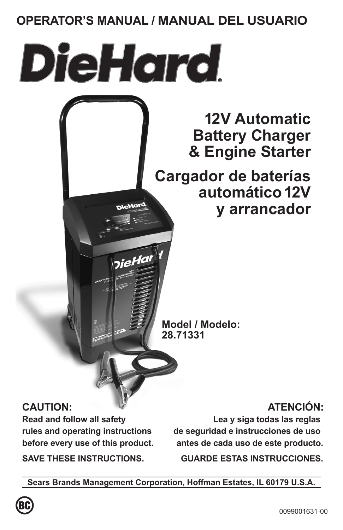# **OPERATOR'S MANUAL / MANUAL DEL USUARIO**

**DieHord** 

<sub>)ie</sub>Har

**12V Automatic Battery Charger & Engine Starter**

**Cargador de baterías automático 12V y arrancador**

**Model / Modelo: 28.71331**

# **CAUTION:**

**Read and follow all safety rules and operating instructions before every use of this product.**

**SAVE THESE INSTRUCTIONS.**

# **ATENCIÓN:**

**Lea y siga todas las reglas de seguridad e instrucciones de uso antes de cada uso de este producto.**

**GUARDE ESTAS INSTRUCCIONES.**

**Sears Brands Management Corporation, Hoffman Estates, IL 60179 U.S.A.**

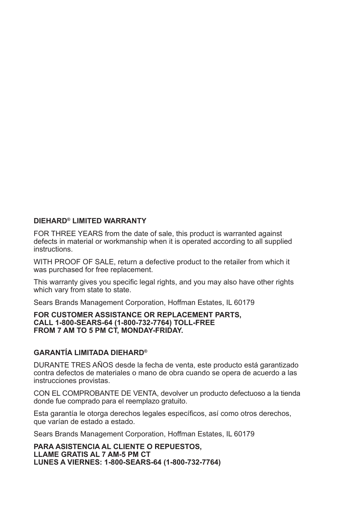#### **DIEHARD® LIMITED WARRANTY**

FOR THREE YEARS from the date of sale, this product is warranted against defects in material or workmanship when it is operated according to all supplied instructions.

WITH PROOF OF SALE, return a defective product to the retailer from which it was purchased for free replacement.

This warranty gives you specific legal rights, and you may also have other rights which vary from state to state.

Sears Brands Management Corporation, Hoffman Estates, IL 60179

#### **FOR CUSTOMER ASSISTANCE OR REPLACEMENT PARTS, CALL 1-800-SEARS-64 (1-800-732-7764) TOLL-FREE FROM 7 AM TO 5 PM CT, MONDAY-FRIDAY.**

### **GARANTÍA LIMITADA DIEHARD®**

DURANTE TRES AÑOS desde la fecha de venta, este producto está garantizado contra defectos de materiales o mano de obra cuando se opera de acuerdo a las instrucciones provistas.

CON EL COMPROBANTE DE VENTA, devolver un producto defectuoso a la tienda donde fue comprado para el reemplazo gratuito.

Esta garantía le otorga derechos legales específicos, así como otros derechos, que varían de estado a estado.

Sears Brands Management Corporation, Hoffman Estates, IL 60179

**PARA ASISTENCIA AL CLIENTE O REPUESTOS, LLAME GRATIS AL 7 AM-5 PM CT LUNES A VIERNES: 1-800-SEARS-64 (1-800-732-7764)**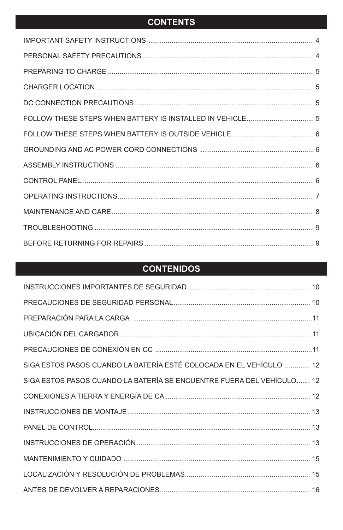# **CONTENTS**

| FOLLOW THESE STEPS WHEN BATTERY IS INSTALLED IN VEHICLE 5 |  |
|-----------------------------------------------------------|--|
|                                                           |  |
|                                                           |  |
|                                                           |  |
|                                                           |  |
|                                                           |  |
|                                                           |  |
|                                                           |  |
|                                                           |  |

# **CONTENIDOS**

| SIGA ESTOS PASOS CUANDO LA BATERÍA ESTÉ COLOCADA EN EL VEHÍCULO  12    |  |
|------------------------------------------------------------------------|--|
| SIGA ESTOS PASOS CUANDO LA BATERÍA SE ENCUENTRE FUERA DEL VEHÍCULO  12 |  |
|                                                                        |  |
|                                                                        |  |
|                                                                        |  |
|                                                                        |  |
|                                                                        |  |
|                                                                        |  |
|                                                                        |  |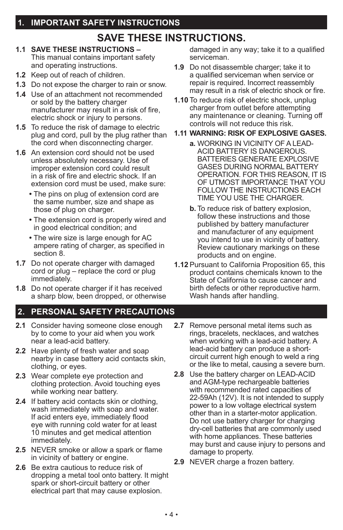# **SAVE THESE INSTRUCTIONS.**

- **1.1 SAVE THESE INSTRUCTIONS**  This manual contains important safety and operating instructions.
- **1.2** Keep out of reach of children.
- **1.3** Do not expose the charger to rain or snow.
- **1.4** Use of an attachment not recommended or sold by the battery charger manufacturer may result in a risk of fire, electric shock or injury to persons.
- **1.5** To reduce the risk of damage to electric plug and cord, pull by the plug rather than the cord when disconnecting charger.
- **1.6** An extension cord should not be used unless absolutely necessary. Use of improper extension cord could result in a risk of fire and electric shock. If an extension cord must be used, make sure:
	- **•** The pins on plug of extension cord are the same number, size and shape as those of plug on charger.
	- The extension cord is properly wired and in good electrical condition; and
	- The wire size is large enough for AC ampere rating of charger, as specified in section 8.
- **1.7** Do not operate charger with damaged cord or plug – replace the cord or plug immediately.
- **1.8** Do not operate charger if it has received a sharp blow, been dropped, or otherwise

## **2. PERSONAL SAFETY PRECAUTIONS**

- **2.1** Consider having someone close enough by to come to your aid when you work near a lead-acid battery.
- **2.2** Have plenty of fresh water and soap nearby in case battery acid contacts skin, clothing, or eyes.
- **2.3** Wear complete eye protection and clothing protection. Avoid touching eyes while working near battery.
- **2.4** If battery acid contacts skin or clothing, wash immediately with soap and water. If acid enters eye, immediately flood eye with running cold water for at least 10 minutes and get medical attention immediately.
- **2.5** NEVER smoke or allow a spark or flame in vicinity of battery or engine.
- **2.6** Be extra cautious to reduce risk of dropping a metal tool onto battery. It might spark or short-circuit battery or other electrical part that may cause explosion.

damaged in any way; take it to a qualified serviceman.

- **1.9** Do not disassemble charger; take it to a qualified serviceman when service or repair is required. Incorrect reassembly may result in a risk of electric shock or fire.
- **1.10** To reduce risk of electric shock, unplug charger from outlet before attempting any maintenance or cleaning. Turning off controls will not reduce this risk.

### **1.11 WARNING: RISK OF EXPLOSIVE GASES.**

- **a.** WORKING IN VICINITY OF A LEAD-ACID BATTERY IS DANGEROUS. BATTERIES GENERATE EXPLOSIVE GASES DURING NORMAL BATTERY OPERATION. FOR THIS REASON, IT IS OF UTMOST IMPORTANCE THAT YOU FOLLOW THE INSTRUCTIONS EACH TIME YOU USE THE CHARGER.
- **b.** To reduce risk of battery explosion, follow these instructions and those published by battery manufacturer and manufacturer of any equipment you intend to use in vicinity of battery. Review cautionary markings on these products and on engine.
- **1.12** Pursuant to California Proposition 65, this product contains chemicals known to the State of California to cause cancer and birth defects or other reproductive harm. Wash hands after handling.
- **2.7** Remove personal metal items such as rings, bracelets, necklaces, and watches when working with a lead-acid battery. A lead-acid battery can produce a shortcircuit current high enough to weld a ring or the like to metal, causing a severe burn.
- **2.8** Use the battery charger on LEAD-ACID and AGM-type rechargeable batteries with recommended rated capacities of 22-59Ah (12V). It is not intended to supply power to a low voltage electrical system other than in a starter-motor application. Do not use battery charger for charging dry-cell batteries that are commonly used with home appliances. These batteries may burst and cause injury to persons and damage to property.
- **2.9** NEVER charge a frozen battery.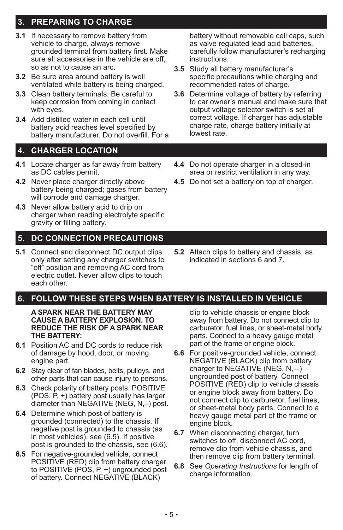## **3. PREPARING TO CHARGE**

- **3.1** If necessary to remove battery from vehicle to charge, always remove grounded terminal from battery first. Make sure all accessories in the vehicle are off. so as not to cause an arc.
- **3.2** Be sure area around battery is well ventilated while battery is being charged.
- **3.3** Clean battery terminals. Be careful to keep corrosion from coming in contact with eyes.
- **3.4** Add distilled water in each cell until battery acid reaches level specified by battery manufacturer. Do not overfill. For a

### **4. CHARGER LOCATION**

- **4.1** Locate charger as far away from battery as DC cables permit.
- **4.2** Never place charger directly above battery being charged; gases from battery will corrode and damage charger.
- **4.3** Never allow battery acid to drip on charger when reading electrolyte specific gravity or filling battery.

### **5. DC CONNECTION PRECAUTIONS**

**5.1** Connect and disconnect DC output clips only after setting any charger switches to "off" position and removing AC cord from electric outlet. Never allow clips to touch each other.

### **6. FOLLOW THESE STEPS WHEN BATTERY IS INSTALLED IN VEHICLE**

**A SPARK NEAR THE BATTERY MAY CAUSE A BATTERY EXPLOSION. TO REDUCE THE RISK OF A SPARK NEAR THE BATTERY:**

- **6.1** Position AC and DC cords to reduce risk of damage by hood, door, or moving engine part.
- **6.2** Stay clear of fan blades, belts, pulleys, and other parts that can cause injury to persons.
- **6.3** Check polarity of battery posts. POSITIVE (POS, P, +) battery post usually has larger diameter than NEGATIVE (NEG, N,–) post.
- **6.4** Determine which post of battery is grounded (connected) to the chassis. If negative post is grounded to chassis (as in most vehicles), see (6.5). If positive post is grounded to the chassis, see (6.6).
- **6.5** For negative-grounded vehicle, connect POSITIVE (RED) clip from battery charger to POSITIVE (POS, P, +) ungrounded post of battery. Connect NEGATIVE (BLACK)

battery without removable cell caps, such as valve regulated lead acid batteries, carefully follow manufacturer's recharging instructions.

- **3.5** Study all battery manufacturer's specific precautions while charging and recommended rates of charge.
- **3.6** Determine voltage of battery by referring to car owner's manual and make sure that output voltage selector switch is set at correct voltage. If charger has adjustable charge rate, charge battery initially at lowest rate.
- **4.4** Do not operate charger in a closed-in area or restrict ventilation in any way.
- **4.5** Do not set a battery on top of charger.

**5.2** Attach clips to battery and chassis, as indicated in sections 6 and 7.

#### clip to vehicle chassis or engine block away from battery. Do not connect clip to carburetor, fuel lines, or sheet-metal body parts. Connect to a heavy gauge metal part of the frame or engine block.

- **6.6** For positive-grounded vehicle, connect NEGATIVE (BLACK) clip from battery charger to NEGATIVE (NEG,  $N, -$ ) ungrounded post of battery. Connect POSITIVE (RED) clip to vehicle chassis or engine block away from battery. Do not connect clip to carburetor, fuel lines, or sheet-metal body parts. Connect to a heavy gauge metal part of the frame or engine block.
- **6.7** When disconnecting charger, turn switches to off, disconnect AC cord, remove clip from vehicle chassis, and then remove clip from battery terminal.
- **6.8** See *Operating Instructions* for length of charge information.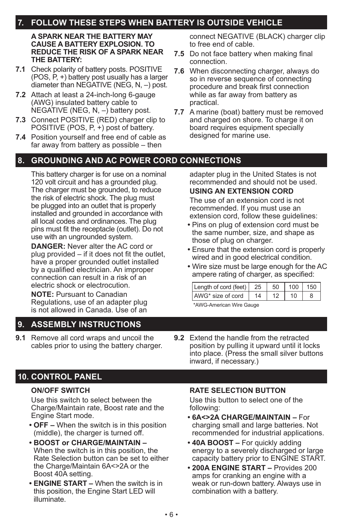## **7. FOLLOW THESE STEPS WHEN BATTERY IS OUTSIDE VEHICLE**

#### **A SPARK NEAR THE BATTERY MAY CAUSE A BATTERY EXPLOSION. TO REDUCE THE RISK OF A SPARK NEAR THE BATTERY:**

- **7.1** Check polarity of battery posts. POSITIVE (POS, P, +) battery post usually has a larger diameter than NEGATIVE (NEG, N, –) post.
- **7.2** Attach at least a 24-inch-long 6-gauge (AWG) insulated battery cable to NEGATIVE (NEG, N, –) battery post.
- **7.3** Connect POSITIVE (RED) charger clip to POSITIVE (POS, P, +) post of battery.
- **7.4** Position yourself and free end of cable as far away from battery as possible – then

## **8. GROUNDING AND AC POWER CORD CONNECTIONS**

This battery charger is for use on a nominal 120 volt circuit and has a grounded plug. The charger must be grounded, to reduce the risk of electric shock. The plug must be plugged into an outlet that is properly installed and grounded in accordance with all local codes and ordinances. The plug pins must fit the receptacle (outlet). Do not use with an ungrounded system.

**DANGER:** Never alter the AC cord or plug provided – if it does not fit the outlet, have a proper grounded outlet installed by a qualified electrician. An improper connection can result in a risk of an electric shock or electrocution.

**NOTE:** Pursuant to Canadian Regulations, use of an adapter plug is not allowed in Canada. Use of an

## **9. ASSEMBLY INSTRUCTIONS**

**9.1** Remove all cord wraps and uncoil the cables prior to using the battery charger. connect NEGATIVE (BLACK) charger clip to free end of cable.

- **7.5** Do not face battery when making final connection.
- **7.6** When disconnecting charger, always do so in reverse sequence of connecting procedure and break first connection while as far away from battery as practical.
- **7.7** A marine (boat) battery must be removed and charged on shore. To charge it on board requires equipment specially designed for marine use.

adapter plug in the United States is not recommended and should not be used. **USING AN EXTENSION CORD**

The use of an extension cord is not recommended. If you must use an extension cord, follow these guidelines:

- **•** Pins on plug of extension cord must be the same number, size, and shape as those of plug on charger.
- **•** Ensure that the extension cord is properly wired and in good electrical condition.
- **•** Wire size must be large enough for the AC ampere rating of charger, as specified:

| Length of cord (feet)   25 |    | 50 |    | $100$ 150 |
|----------------------------|----|----|----|-----------|
| AWG* size of cord          | 14 |    | 10 |           |

\*AWG-American Wire Gauge

**9.2** Extend the handle from the retracted position by pulling it upward until it locks into place. (Press the small silver buttons inward, if necessary.)

## **10. CONTROL PANEL**

### **ON/OFF SWITCH**

Use this switch to select between the Charge/Maintain rate, Boost rate and the Engine Start mode.

- **• OFF** When the switch is in this position (middle), the charger is turned off.
- **• BOOST or CHARGE/MAINTAIN**  When the switch is in this position, the Rate Selection button can be set to either the Charge/Maintain 6A<>2A or the Boost 40A setting.
- **• ENGINE START** When the switch is in this position, the Engine Start LED will illuminate.

### **RATE SELECTION BUTTON**

Use this button to select one of the following:

- **• 6A<>2A CHARGE/MAINTAIN –** For charging small and large batteries. Not recommended for industrial applications.
- **40A BOOST –** For quickly adding energy to a severely discharged or large capacity battery prior to ENGINE START.
- **• 200A ENGINE START –** Provides 200 amps for cranking an engine with a weak or run-down battery. Always use in combination with a battery.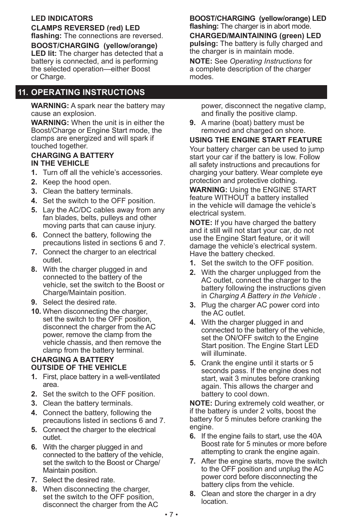### **LED INDICATORS**

**CLAMPS REVERSED (red) LED flashing:** The connections are reversed. **BOOST/CHARGING (yellow/orange) LED lit:** The charger has detected that a battery is connected, and is performing the selected operation—either Boost or Charge.

### **11. OPERATING INSTRUCTIONS**

**WARNING:** A spark near the battery may cause an explosion.

**WARNING:** When the unit is in either the Boost/Charge or Engine Start mode, the clamps are energized and will spark if touched together.

#### **CHARGING A BATTERY IN THE VEHICLE**

- **1.** Turn off all the vehicle's accessories.
- **2.** Keep the hood open.
- **3.** Clean the battery terminals.
- **4.** Set the switch to the OFF position.
- **5.** Lay the AC/DC cables away from any fan blades, belts, pulleys and other moving parts that can cause injury.
- **6.** Connect the battery, following the precautions listed in sections 6 and 7.
- **7.** Connect the charger to an electrical outlet.
- **8.** With the charger plugged in and connected to the battery of the vehicle, set the switch to the Boost or Charge/Maintain position.
- **9.** Select the desired rate.
- **10.** When disconnecting the charger, set the switch to the OFF position, disconnect the charger from the AC power, remove the clamp from the vehicle chassis, and then remove the clamp from the battery terminal.

#### **CHARGING A BATTERY OUTSIDE OF THE VEHICLE**

- **1.** First, place battery in a well-ventilated area.
- **2.** Set the switch to the OFF position.
- **3.** Clean the battery terminals.
- **4.** Connect the battery, following the precautions listed in sections 6 and 7.
- **5.** Connect the charger to the electrical outlet.
- **6.** With the charger plugged in and connected to the battery of the vehicle, set the switch to the Boost or Charge/ Maintain position.
- **7.** Select the desired rate.
- **8.** When disconnecting the charger, set the switch to the OFF position, disconnect the charger from the AC

**BOOST/CHARGING (yellow/orange) LED flashing:** The charger is in abort mode.

**CHARGED/MAINTAINING (green) LED pulsing:** The battery is fully charged and the charger is in maintain mode.

**NOTE:** See *Operating Instructions* for a complete description of the charger modes.

power, disconnect the negative clamp, and finally the positive clamp.

**9.** A marine (boat) battery must be removed and charged on shore.

### **USING THE ENGINE START FEATURE**

Your battery charger can be used to jump start your car if the battery is low. Follow all safety instructions and precautions for charging your battery. Wear complete eye protection and protective clothing.

**WARNING:** Using the ENGINE START feature WITHOUT a battery installed in the vehicle will damage the vehicle's electrical system.

**NOTE:** If you have charged the battery and it still will not start your car, do not use the Engine Start feature, or it will damage the vehicle's electrical system. Have the battery checked.

- **1.** Set the switch to the OFF position.
- **2.** With the charger unplugged from the AC outlet, connect the charger to the battery following the instructions given in *Charging A Battery in the Vehicle* .
- **3.** Plug the charger AC power cord into the AC outlet.
- **4.** With the charger plugged in and connected to the battery of the vehicle, set the ON/OFF switch to the Engine Start position. The Engine Start LED will illuminate.
- **5.** Crank the engine until it starts or 5 seconds pass. If the engine does not start, wait 3 minutes before cranking again. This allows the charger and battery to cool down.

**NOTE:** During extremely cold weather, or if the battery is under 2 volts, boost the battery for 5 minutes before cranking the engine.

- **6.** If the engine fails to start, use the 40A Boost rate for 5 minutes or more before attempting to crank the engine again.
- **7.** After the engine starts, move the switch to the OFF position and unplug the AC power cord before disconnecting the battery clips from the vehicle.
- **8.** Clean and store the charger in a dry location.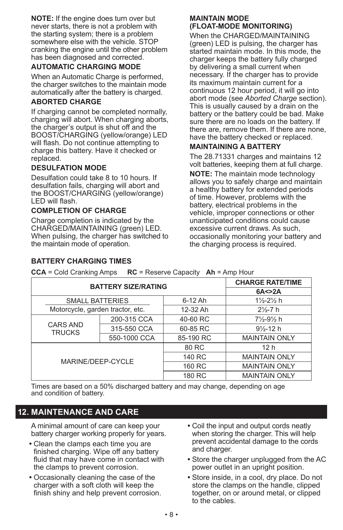**NOTE:** If the engine does turn over but never starts, there is not a problem with the starting system; there is a problem somewhere else with the vehicle. STOP cranking the engine until the other problem has been diagnosed and corrected.

### **AUTOMATIC CHARGING MODE**

When an Automatic Charge is performed, the charger switches to the maintain mode automatically after the battery is charged.

### **ABORTED CHARGE**

If charging cannot be completed normally, charging will abort. When charging aborts, the charger's output is shut off and the BOOST/CHARGING (yellow/orange) LED will flash. Do not continue attempting to charge this battery. Have it checked or replaced.

### **DESULFATION MODE**

Desulfation could take 8 to 10 hours. If desulfation fails, charging will abort and the BOOST/CHARGING (yellow/orange) LED will flash.

### **COMPLETION OF CHARGE**

Charge completion is indicated by the CHARGED/MAINTAINING (green) LED. When pulsing, the charger has switched to the maintain mode of operation.

### **MAINTAIN MODE (FLOAT-MODE MONITORING)**

When the CHARGED/MAINTAINING (green) LED is pulsing, the charger has started maintain mode. In this mode, the charger keeps the battery fully charged by delivering a small current when necessary. If the charger has to provide its maximum maintain current for a continuous 12 hour period, it will go into abort mode (see *Aborted Charge* section). This is usually caused by a drain on the battery or the battery could be bad. Make sure there are no loads on the battery. If there are, remove them. If there are none, have the battery checked or replaced.

#### **MAINTAINING A BATTERY**

The 28.71331 charges and maintains 12 volt batteries, keeping them at full charge.

**NOTE:** The maintain mode technology allows you to safely charge and maintain a healthy battery for extended periods of time. However, problems with the battery, electrical problems in the vehicle, improper connections or other unanticipated conditions could cause excessive current draws. As such, occasionally monitoring your battery and the charging process is required.

#### **BATTERY CHARGING TIMES**

**CCA** = Cold Cranking Amps **RC** = Reserve Capacity **Ah** = Amp Hour

|                                  | <b>BATTERY SIZE/RATING</b> |           | <b>CHARGE RATE/TIME</b>         |
|----------------------------------|----------------------------|-----------|---------------------------------|
|                                  |                            |           | 6A < > 2A                       |
| <b>SMALL BATTERIES</b>           |                            | $6-12$ Ah | $1\frac{1}{2} - 2\frac{1}{2}$ h |
| Motorcycle, garden tractor, etc. |                            | 12-32 Ah  | $2\frac{1}{2}$ -7 h             |
| <b>CARS AND</b><br><b>TRUCKS</b> | 200-315 CCA                | 40-60 RC  | $7\frac{1}{2} - 9\frac{1}{2}$ h |
|                                  | 315-550 CCA                | 60-85 RC  | $9\frac{1}{2}$ -12 h            |
|                                  | 550-1000 CCA               | 85-190 RC | <b>MAINTAIN ONLY</b>            |
|                                  |                            | 80 RC     | 12 <sub>h</sub>                 |
| MARINE/DEEP-CYCLE                |                            | 140 RC    | <b>MAINTAIN ONLY</b>            |
|                                  |                            | 160 RC    | <b>MAINTAIN ONLY</b>            |
|                                  |                            | 180 RC    | <b>MAINTAIN ONLY</b>            |

Times are based on a 50% discharged battery and may change, depending on age and condition of battery.

### **12. MAINTENANCE AND CARE**

A minimal amount of care can keep your battery charger working properly for years.

- **•** Clean the clamps each time you are finished charging. Wipe off any battery fluid that may have come in contact with the clamps to prevent corrosion.
- **•** Occasionally cleaning the case of the charger with a soft cloth will keep the finish shiny and help prevent corrosion.
- **•** Coil the input and output cords neatly when storing the charger. This will help prevent accidental damage to the cords and charger.
- Store the charger unplugged from the AC power outlet in an upright position.
- **•** Store inside, in a cool, dry place. Do not store the clamps on the handle, clipped together, on or around metal, or clipped to the cables.